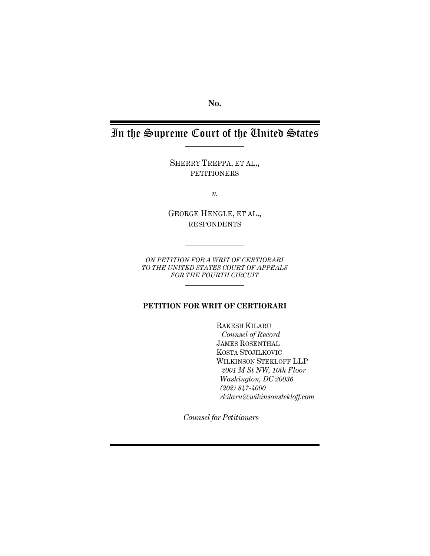**No.** 

# In the Supreme Court of the United States

SHERRY TREPPA, ET AL., PETITIONERS

*v.*

GEORGE HENGLE, ET AL., RESPONDENTS

*ON PETITION FOR A WRIT OF CERTIORARI TO THE UNITED STATES COURT OF APPEALS FOR THE FOURTH CIRCUIT* 

# **PETITION FOR WRIT OF CERTIORARI**

RAKESH KILARU  *Counsel of Record* JAMES ROSENTHAL KOSTA STOJILKOVIC WILKINSON STEKLOFF LLP  *2001 M St NW, 10th Floor Washington, DC 20036 (202) 847-4000 rkilaru@wikinsonstekloff.com*

*Counsel for Petitioners*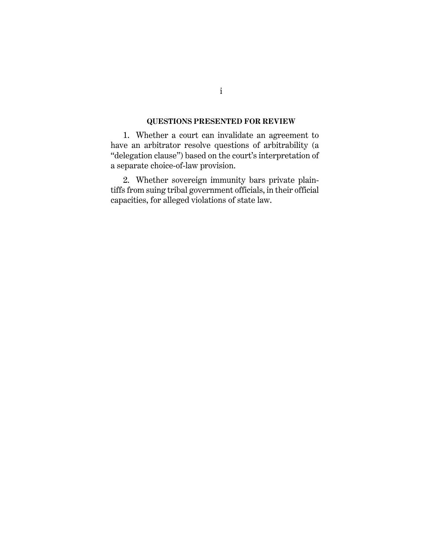# **QUESTIONS PRESENTED FOR REVIEW**

1. Whether a court can invalidate an agreement to have an arbitrator resolve questions of arbitrability (a "delegation clause") based on the court's interpretation of a separate choice-of-law provision.

2. Whether sovereign immunity bars private plaintiffs from suing tribal government officials, in their official capacities, for alleged violations of state law.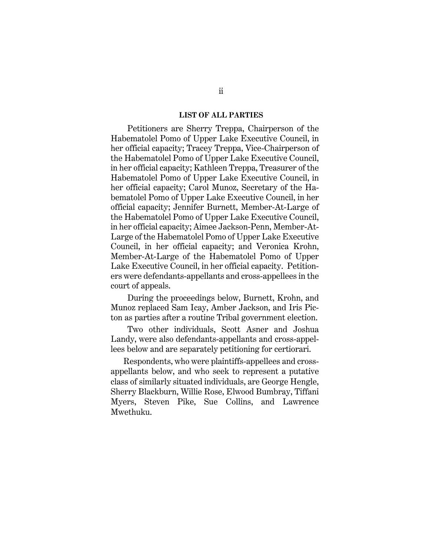#### **LIST OF ALL PARTIES**

Petitioners are Sherry Treppa, Chairperson of the Habematolel Pomo of Upper Lake Executive Council, in her official capacity; Tracey Treppa, Vice-Chairperson of the Habematolel Pomo of Upper Lake Executive Council, in her official capacity; Kathleen Treppa, Treasurer of the Habematolel Pomo of Upper Lake Executive Council, in her official capacity; Carol Munoz, Secretary of the Habematolel Pomo of Upper Lake Executive Council, in her official capacity; Jennifer Burnett, Member-At-Large of the Habematolel Pomo of Upper Lake Executive Council, in her official capacity; Aimee Jackson-Penn, Member-At-Large of the Habematolel Pomo of Upper Lake Executive Council, in her official capacity; and Veronica Krohn, Member-At-Large of the Habematolel Pomo of Upper Lake Executive Council, in her official capacity. Petitioners were defendants-appellants and cross-appellees in the court of appeals.

During the proceedings below, Burnett, Krohn, and Munoz replaced Sam Icay, Amber Jackson, and Iris Picton as parties after a routine Tribal government election.

Two other individuals, Scott Asner and Joshua Landy, were also defendants-appellants and cross-appellees below and are separately petitioning for certiorari.

Respondents, who were plaintiffs-appellees and crossappellants below, and who seek to represent a putative class of similarly situated individuals, are George Hengle, Sherry Blackburn, Willie Rose, Elwood Bumbray, Tiffani Myers, Steven Pike, Sue Collins, and Lawrence Mwethuku.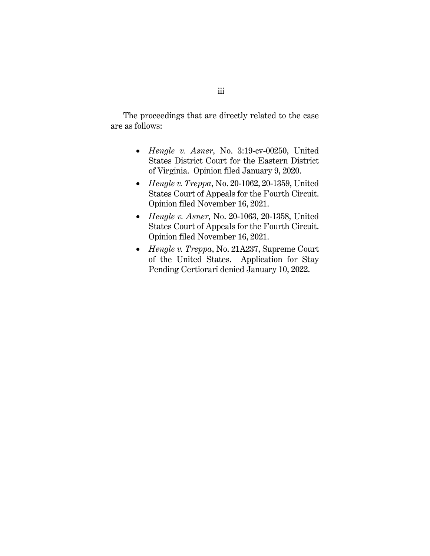The proceedings that are directly related to the case are as follows:

- *Hengle v. Asner*, No. 3:19-cv-00250, United States District Court for the Eastern District of Virginia. Opinion filed January 9, 2020.
- *Hengle v. Treppa*, No. 20-1062, 20-1359, United States Court of Appeals for the Fourth Circuit. Opinion filed November 16, 2021.
- *Hengle v. Asner*, No. 20-1063, 20-1358, United States Court of Appeals for the Fourth Circuit. Opinion filed November 16, 2021.
- *Hengle v. Treppa*, No. 21A237, Supreme Court of the United States. Application for Stay Pending Certiorari denied January 10, 2022.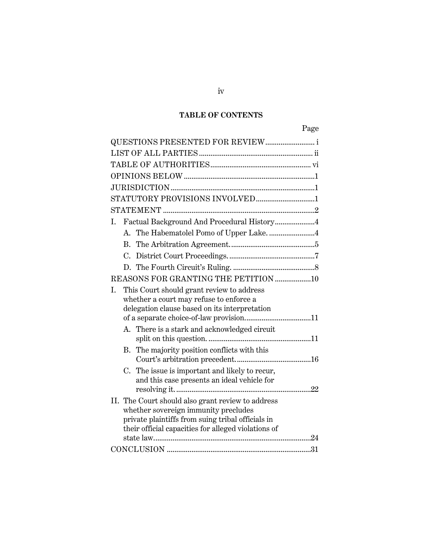# **TABLE OF CONTENTS**

| QUESTIONS PRESENTED FOR REVIEW i                                                                 |
|--------------------------------------------------------------------------------------------------|
|                                                                                                  |
|                                                                                                  |
|                                                                                                  |
|                                                                                                  |
|                                                                                                  |
|                                                                                                  |
| Factual Background And Procedural History4<br>Ι.                                                 |
|                                                                                                  |
|                                                                                                  |
|                                                                                                  |
|                                                                                                  |
| REASONS FOR GRANTING THE PETITION 10                                                             |
| I.<br>This Court should grant review to address                                                  |
| whether a court may refuse to enforce a                                                          |
| delegation clause based on its interpretation                                                    |
|                                                                                                  |
| A. There is a stark and acknowledged circuit                                                     |
|                                                                                                  |
| The majority position conflicts with this<br>В.                                                  |
|                                                                                                  |
| The issue is important and likely to recur,<br>C.<br>and this case presents an ideal vehicle for |
|                                                                                                  |
| II. The Court should also grant review to address                                                |
| whether sovereign immunity precludes                                                             |
| private plaintiffs from suing tribal officials in                                                |
| their official capacities for alleged violations of                                              |
|                                                                                                  |
|                                                                                                  |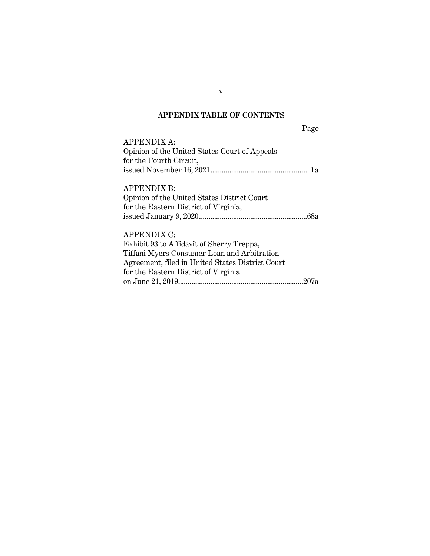# **APPENDIX TABLE OF CONTENTS**

Page APPENDIX A: Opinion of the United States Court of Appeals for the Fourth Circuit, issued November 16, 2021.....................................................1a APPENDIX B: Opinion of the United States District Court for the Eastern District of Virginia, issued January 9, 2020.........................................................68a APPENDIX C:

| Exhibit 93 to Affidavit of Sherry Treppa,        |
|--------------------------------------------------|
| Tiffani Myers Consumer Loan and Arbitration      |
| Agreement, filed in United States District Court |
| for the Eastern District of Virginia             |
|                                                  |

v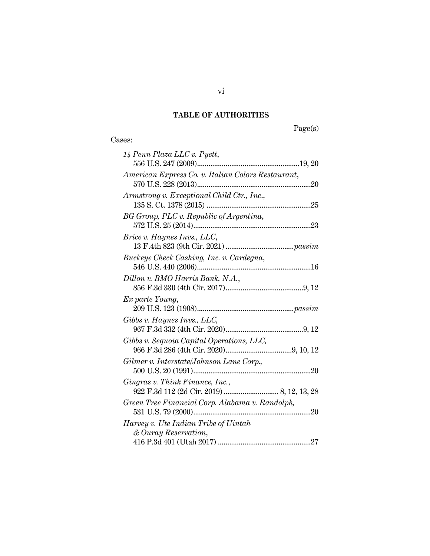# **TABLE OF AUTHORITIES**

Page(s)

| 14 Penn Plaza LLC v. Pyett,                        |
|----------------------------------------------------|
|                                                    |
| American Express Co. v. Italian Colors Restaurant, |
|                                                    |
| Armstrong v. Exceptional Child Ctr., Inc.,         |
|                                                    |
| BG Group, PLC v. Republic of Argentina,            |
|                                                    |
| <i>Brice v. Haynes Invs., LLC,</i>                 |
|                                                    |
| Buckeye Check Cashing, Inc. v. Cardegna,           |
|                                                    |
| Dillon v. BMO Harris Bank, N.A.,                   |
|                                                    |
| Ex parte Young,                                    |
|                                                    |
| Gibbs v. Haynes Invs., LLC,                        |
|                                                    |
| Gibbs v. Sequoia Capital Operations, LLC,          |
|                                                    |
| Gilmer v. Interstate/Johnson Lane Corp.,           |
|                                                    |
| Gingras v. Think Finance, Inc.,                    |
|                                                    |
| Green Tree Financial Corp. Alabama v. Randolph,    |
|                                                    |
| Harvey v. Ute Indian Tribe of Uintah               |
| & Ouray Reservation,                               |
|                                                    |

vi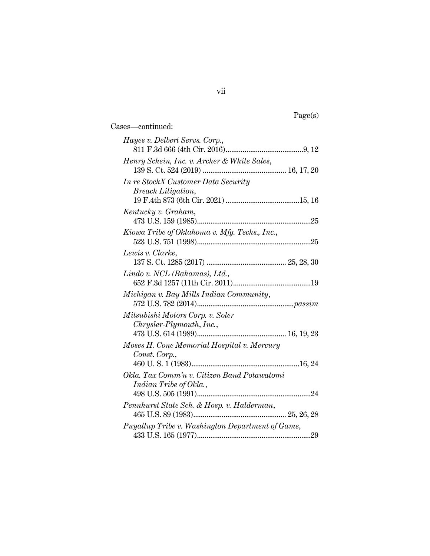| т,<br>c. |  |
|----------|--|
|          |  |

Cases—continued: *Hayes v. Delbert Servs. Corp.*, 811 F.3d 666 (4th Cir. 2016).........................................9, 12 *Henry Schein, Inc. v. Archer & White Sales*, 139 S. Ct. 524 (2019) ............................................ 16, 17, 20 *In re StockX Customer Data Security Breach Litigation*, 19 F.4th 873 (6th Cir. 2021) .......................................15, 16 *Kentucky v. Graham*, 473 U.S. 159 (1985)............................................................25 *Kiowa Tribe of Oklahoma v. Mfg. Techs., Inc.*, 523 U.S. 751 (1998)............................................................25 *Lewis v. Clarke*, 137 S. Ct. 1285 (2017) .......................................... 25, 28, 30 *Lindo v. NCL (Bahamas), Ltd.*, 652 F.3d 1257 (11th Cir. 2011).........................................19 *Michigan v. Bay Mills Indian Community*, 572 U.S. 782 (2014)...................................................*passim Mitsubishi Motors Corp. v. Soler Chrysler-Plymouth*, *Inc.*, 473 U.S. 614 (1989)............................................... 16, 19, 23 *Moses H. Cone Memorial Hospital v. Mercury Const*. *Corp.*, 460 U. S. 1 (1983).........................................................16, 24 *Okla. Tax Comm'n v. Citizen Band Potawatomi Indian Tribe of Okla.*, 498 U.S. 505 (1991)............................................................ 24 *Pennhurst State Sch. & Hosp. v. Halderman*, 465 U.S. 89 (1983)................................................. 25, 26, 28 *Puyallup Tribe v. Washington Department of Game*, 433 U.S. 165 (1977)............................................................29

vii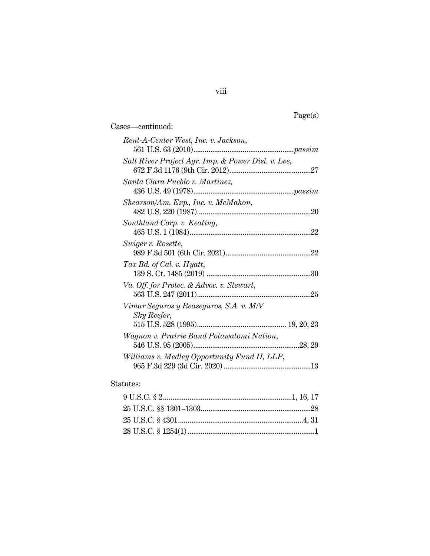| г. |  |
|----|--|
|    |  |

Cases—continued: *Rent-A-Center West, Inc. v. Jackson*, 561 U.S. 63 (2010).....................................................*passim Salt River Project Agr. Imp. & Power Dist. v. Lee*, 672 F.3d 1176 (9th Cir. 2012)........................................... 27 *Santa Clara Pueblo v. Martinez,* 436 U.S. 49 (1978).....................................................*passim Shearson/Am. Exp., Inc. v. McMahon*, 482 U.S. 220 (1987)............................................................20 *Southland Corp. v. Keating*, 465 U.S. 1 (1984)................................................................ 22 *Swiger v. Rosette*, 989 F.3d 501 (6th Cir. 2021)............................................. 22 *Tax Bd. of Cal. v. Hyatt*, 139 S. Ct. 1485 (2019) ....................................................... 30 *Va. Off. for Protec. & Advoc. v. Stewart*, 563 U.S. 247 (2011)............................................................ 25 *Vimar Seguros y Reaseguros, S.A. v. M/V Sky Reefer*, 515 U.S. 528 (1995)............................................... 19, 20, 23 *Wagnon v. Prairie Band Potawatomi Nation*, 546 U.S. 95 (2005)........................................................ 28, 29 *Williams v. Medley Opportunity Fund II, LLP*, 965 F.3d 229 (3d Cir. 2020)..............................................13

#### Statutes: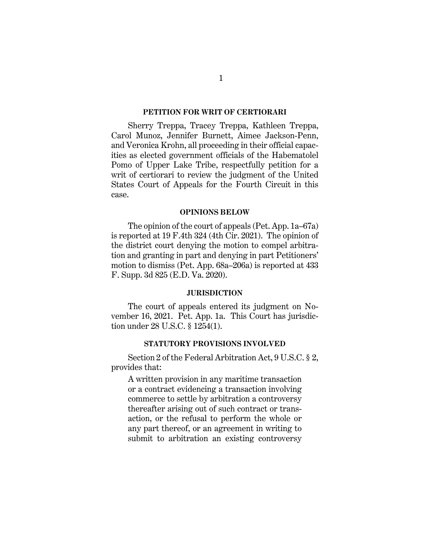#### **PETITION FOR WRIT OF CERTIORARI**

Sherry Treppa, Tracey Treppa, Kathleen Treppa, Carol Munoz, Jennifer Burnett, Aimee Jackson-Penn, and Veronica Krohn, all proceeding in their official capacities as elected government officials of the Habematolel Pomo of Upper Lake Tribe, respectfully petition for a writ of certiorari to review the judgment of the United States Court of Appeals for the Fourth Circuit in this case.

#### **OPINIONS BELOW**

The opinion of the court of appeals (Pet. App. 1a–67a) is reported at 19 F.4th 324 (4th Cir. 2021). The opinion of the district court denying the motion to compel arbitration and granting in part and denying in part Petitioners' motion to dismiss (Pet. App. 68a–206a) is reported at 433 F. Supp. 3d 825 (E.D. Va. 2020).

#### **JURISDICTION**

The court of appeals entered its judgment on November 16, 2021. Pet. App. 1a. This Court has jurisdiction under 28 U.S.C. § 1254(1).

## **STATUTORY PROVISIONS INVOLVED**

Section 2 of the Federal Arbitration Act, 9 U.S.C. § 2, provides that:

A written provision in any maritime transaction or a contract evidencing a transaction involving commerce to settle by arbitration a controversy thereafter arising out of such contract or transaction, or the refusal to perform the whole or any part thereof, or an agreement in writing to submit to arbitration an existing controversy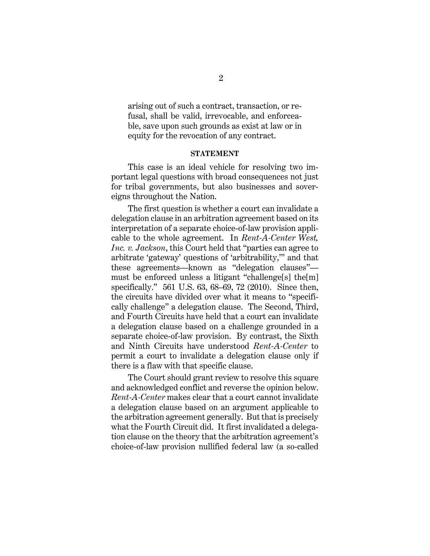arising out of such a contract, transaction, or refusal, shall be valid, irrevocable, and enforceable, save upon such grounds as exist at law or in equity for the revocation of any contract.

#### **STATEMENT**

This case is an ideal vehicle for resolving two important legal questions with broad consequences not just for tribal governments, but also businesses and sovereigns throughout the Nation.

The first question is whether a court can invalidate a delegation clause in an arbitration agreement based on its interpretation of a separate choice-of-law provision applicable to the whole agreement. In *Rent-A-Center West, Inc. v. Jackson*, this Court held that "parties can agree to arbitrate 'gateway' questions of 'arbitrability,'" and that these agreements—known as "delegation clauses" must be enforced unless a litigant "challenge[s] the[m] specifically." 561 U.S. 63, 68–69, 72 (2010). Since then, the circuits have divided over what it means to "specifically challenge" a delegation clause. The Second, Third, and Fourth Circuits have held that a court can invalidate a delegation clause based on a challenge grounded in a separate choice-of-law provision. By contrast, the Sixth and Ninth Circuits have understood *Rent-A-Center* to permit a court to invalidate a delegation clause only if there is a flaw with that specific clause.

The Court should grant review to resolve this square and acknowledged conflict and reverse the opinion below. *Rent-A-Center* makes clear that a court cannot invalidate a delegation clause based on an argument applicable to the arbitration agreement generally. But that is precisely what the Fourth Circuit did. It first invalidated a delegation clause on the theory that the arbitration agreement's choice-of-law provision nullified federal law (a so-called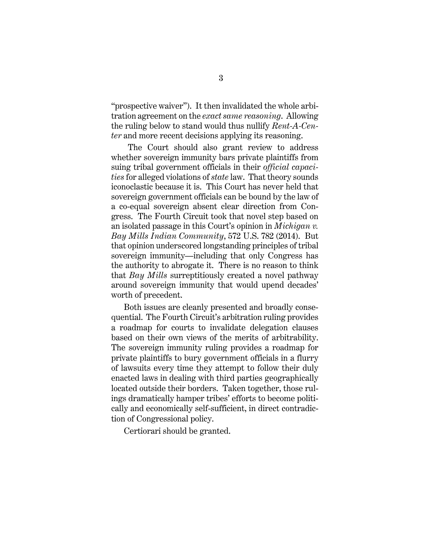"prospective waiver"). It then invalidated the whole arbitration agreement on the *exact same reasoning*. Allowing the ruling below to stand would thus nullify *Rent-A-Center* and more recent decisions applying its reasoning.

The Court should also grant review to address whether sovereign immunity bars private plaintiffs from suing tribal government officials in their *official capacities* for alleged violations of *state* law. That theory sounds iconoclastic because it is. This Court has never held that sovereign government officials can be bound by the law of a co-equal sovereign absent clear direction from Congress. The Fourth Circuit took that novel step based on an isolated passage in this Court's opinion in *Michigan v. Bay Mills Indian Community*, 572 U.S. 782 (2014). But that opinion underscored longstanding principles of tribal sovereign immunity—including that only Congress has the authority to abrogate it. There is no reason to think that *Bay Mills* surreptitiously created a novel pathway around sovereign immunity that would upend decades' worth of precedent.

Both issues are cleanly presented and broadly consequential. The Fourth Circuit's arbitration ruling provides a roadmap for courts to invalidate delegation clauses based on their own views of the merits of arbitrability. The sovereign immunity ruling provides a roadmap for private plaintiffs to bury government officials in a flurry of lawsuits every time they attempt to follow their duly enacted laws in dealing with third parties geographically located outside their borders. Taken together, those rulings dramatically hamper tribes' efforts to become politically and economically self-sufficient, in direct contradiction of Congressional policy.

Certiorari should be granted.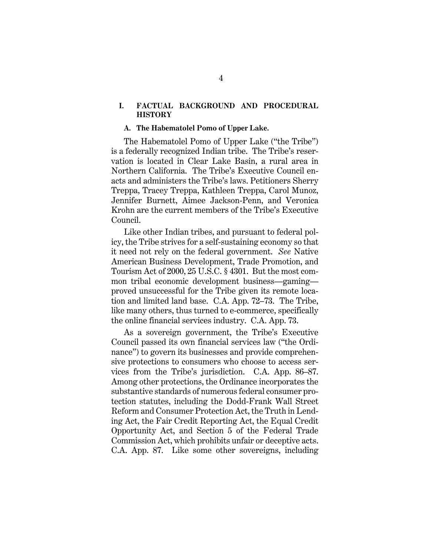## **I. FACTUAL BACKGROUND AND PROCEDURAL HISTORY**

#### **A. The Habematolel Pomo of Upper Lake.**

The Habematolel Pomo of Upper Lake ("the Tribe") is a federally recognized Indian tribe. The Tribe's reservation is located in Clear Lake Basin, a rural area in Northern California. The Tribe's Executive Council enacts and administers the Tribe's laws. Petitioners Sherry Treppa, Tracey Treppa, Kathleen Treppa, Carol Munoz, Jennifer Burnett, Aimee Jackson-Penn, and Veronica Krohn are the current members of the Tribe's Executive Council.

Like other Indian tribes, and pursuant to federal policy, the Tribe strives for a self-sustaining economy so that it need not rely on the federal government. *See* Native American Business Development, Trade Promotion, and Tourism Act of 2000, 25 U.S.C. § 4301. But the most common tribal economic development business—gaming proved unsuccessful for the Tribe given its remote location and limited land base. C.A. App. 72–73. The Tribe, like many others, thus turned to e-commerce, specifically the online financial services industry. C.A. App. 73.

As a sovereign government, the Tribe's Executive Council passed its own financial services law ("the Ordinance") to govern its businesses and provide comprehensive protections to consumers who choose to access services from the Tribe's jurisdiction. C.A. App. 86–87. Among other protections, the Ordinance incorporates the substantive standards of numerous federal consumer protection statutes, including the Dodd-Frank Wall Street Reform and Consumer Protection Act, the Truth in Lending Act, the Fair Credit Reporting Act, the Equal Credit Opportunity Act, and Section 5 of the Federal Trade Commission Act, which prohibits unfair or deceptive acts. C.A. App. 87. Like some other sovereigns, including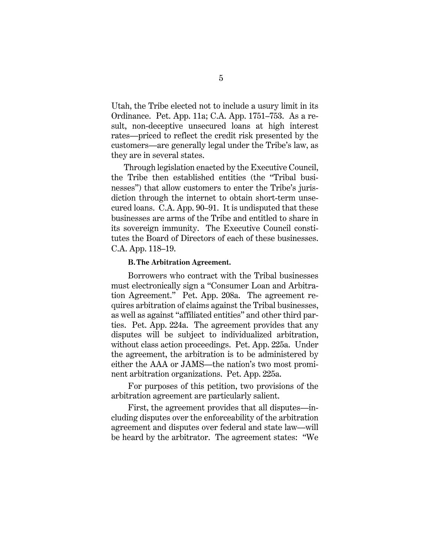Utah, the Tribe elected not to include a usury limit in its Ordinance. Pet. App. 11a; C.A. App. 1751–753. As a result, non-deceptive unsecured loans at high interest rates—priced to reflect the credit risk presented by the customers—are generally legal under the Tribe's law, as they are in several states.

Through legislation enacted by the Executive Council, the Tribe then established entities (the "Tribal businesses") that allow customers to enter the Tribe's jurisdiction through the internet to obtain short-term unsecured loans. C.A. App. 90–91. It is undisputed that these businesses are arms of the Tribe and entitled to share in its sovereign immunity. The Executive Council constitutes the Board of Directors of each of these businesses. C.A. App. 118–19.

#### **B.The Arbitration Agreement.**

Borrowers who contract with the Tribal businesses must electronically sign a "Consumer Loan and Arbitration Agreement." Pet. App. 208a. The agreement requires arbitration of claims against the Tribal businesses, as well as against "affiliated entities" and other third parties. Pet. App. 224a. The agreement provides that any disputes will be subject to individualized arbitration, without class action proceedings. Pet. App. 225a. Under the agreement, the arbitration is to be administered by either the AAA or JAMS—the nation's two most prominent arbitration organizations. Pet. App. 225a.

For purposes of this petition, two provisions of the arbitration agreement are particularly salient.

First, the agreement provides that all disputes—including disputes over the enforceability of the arbitration agreement and disputes over federal and state law—will be heard by the arbitrator. The agreement states: "We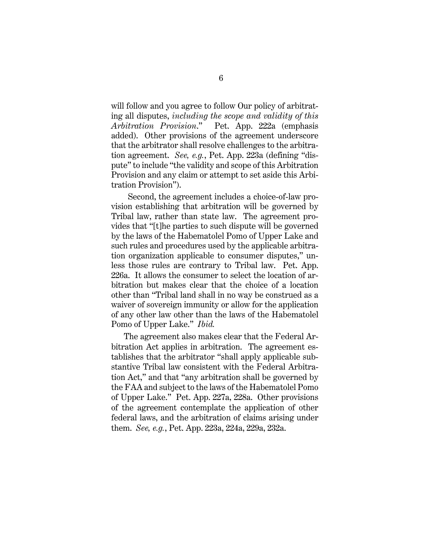will follow and you agree to follow Our policy of arbitrating all disputes, *including the scope and validity of this Arbitration Provision*." Pet. App. 222a (emphasis added). Other provisions of the agreement underscore that the arbitrator shall resolve challenges to the arbitration agreement. *See, e.g.*, Pet. App. 223a (defining "dispute" to include "the validity and scope of this Arbitration Provision and any claim or attempt to set aside this Arbitration Provision").

Second, the agreement includes a choice-of-law provision establishing that arbitration will be governed by Tribal law, rather than state law. The agreement provides that "[t]he parties to such dispute will be governed by the laws of the Habematolel Pomo of Upper Lake and such rules and procedures used by the applicable arbitration organization applicable to consumer disputes," unless those rules are contrary to Tribal law. Pet. App. 226a. It allows the consumer to select the location of arbitration but makes clear that the choice of a location other than "Tribal land shall in no way be construed as a waiver of sovereign immunity or allow for the application of any other law other than the laws of the Habematolel Pomo of Upper Lake." *Ibid.*

The agreement also makes clear that the Federal Arbitration Act applies in arbitration. The agreement establishes that the arbitrator "shall apply applicable substantive Tribal law consistent with the Federal Arbitration Act," and that "any arbitration shall be governed by the FAA and subject to the laws of the Habematolel Pomo of Upper Lake." Pet. App. 227a, 228a. Other provisions of the agreement contemplate the application of other federal laws, and the arbitration of claims arising under them. *See, e.g.*, Pet. App. 223a, 224a, 229a, 232a.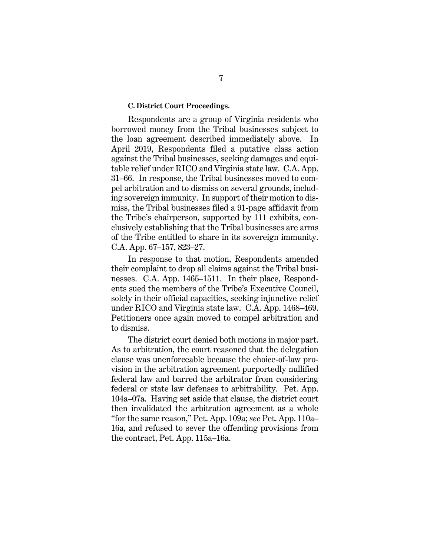#### **C. District Court Proceedings.**

Respondents are a group of Virginia residents who borrowed money from the Tribal businesses subject to the loan agreement described immediately above. In April 2019, Respondents filed a putative class action against the Tribal businesses, seeking damages and equitable relief under RICO and Virginia state law. C.A. App. 31–66. In response, the Tribal businesses moved to compel arbitration and to dismiss on several grounds, including sovereign immunity. In support of their motion to dismiss, the Tribal businesses filed a 91-page affidavit from the Tribe's chairperson, supported by 111 exhibits, conclusively establishing that the Tribal businesses are arms of the Tribe entitled to share in its sovereign immunity. C.A. App. 67–157, 823–27.

In response to that motion, Respondents amended their complaint to drop all claims against the Tribal businesses. C.A. App. 1465–1511. In their place, Respondents sued the members of the Tribe's Executive Council, solely in their official capacities, seeking injunctive relief under RICO and Virginia state law. C.A. App. 1468–469. Petitioners once again moved to compel arbitration and to dismiss.

The district court denied both motions in major part. As to arbitration, the court reasoned that the delegation clause was unenforceable because the choice-of-law provision in the arbitration agreement purportedly nullified federal law and barred the arbitrator from considering federal or state law defenses to arbitrability. Pet. App. 104a–07a. Having set aside that clause, the district court then invalidated the arbitration agreement as a whole "for the same reason," Pet. App. 109a; *see* Pet. App. 110a– 16a, and refused to sever the offending provisions from the contract, Pet. App. 115a–16a.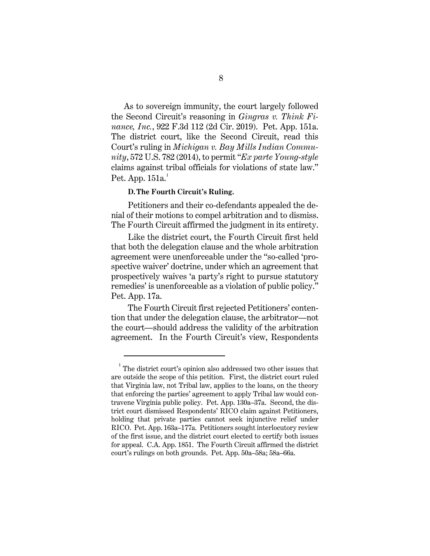As to sovereign immunity, the court largely followed the Second Circuit's reasoning in *Gingras v. Think Finance, Inc.*, 922 F.3d 112 (2d Cir. 2019). Pet. App. 151a. The district court, like the Second Circuit, read this Court's ruling in *Michigan v. Bay Mills Indian Community*, 572 U.S. 782 (2014), to permit "*Ex parte Young*-*style* claims against tribal officials for violations of state law." Pet. App.  $151a<sup>1</sup>$  $151a<sup>1</sup>$ 

# **D.The Fourth Circuit's Ruling.**

Petitioners and their co-defendants appealed the denial of their motions to compel arbitration and to dismiss. The Fourth Circuit affirmed the judgment in its entirety.

Like the district court, the Fourth Circuit first held that both the delegation clause and the whole arbitration agreement were unenforceable under the "so-called 'prospective waiver' doctrine, under which an agreement that prospectively waives 'a party's right to pursue statutory remedies' is unenforceable as a violation of public policy." Pet. App. 17a.

The Fourth Circuit first rejected Petitioners' contention that under the delegation clause, the arbitrator—not the court—should address the validity of the arbitration agreement. In the Fourth Circuit's view, Respondents

<span id="page-16-0"></span> $1$ <sup>1</sup> The district court's opinion also addressed two other issues that are outside the scope of this petition. First, the district court ruled that Virginia law, not Tribal law, applies to the loans, on the theory that enforcing the parties' agreement to apply Tribal law would contravene Virginia public policy. Pet. App. 130a–37a. Second, the district court dismissed Respondents' RICO claim against Petitioners, holding that private parties cannot seek injunctive relief under RICO. Pet. App. 163a–177a. Petitioners sought interlocutory review of the first issue, and the district court elected to certify both issues for appeal. C.A. App. 1851. The Fourth Circuit affirmed the district court's rulings on both grounds. Pet. App. 50a–58a; 58a–66a.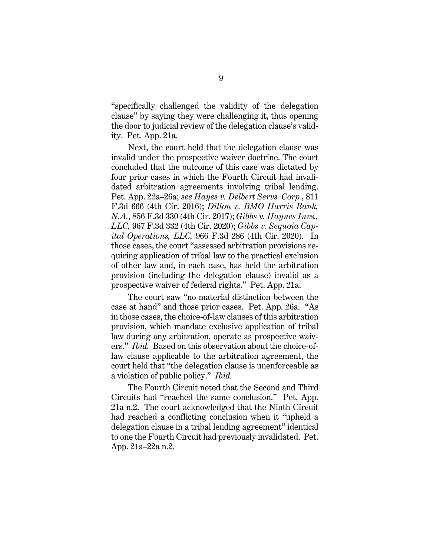"specifically challenged the validity of the delegation clause" by saying they were challenging it, thus opening the door to judicial review of the delegation clause's validity. Pet. App. 21a.

Next, the court held that the delegation clause was invalid under the prospective waiver doctrine. The court concluded that the outcome of this case was dictated by four prior cases in which the Fourth Circuit had invalidated arbitration agreements involving tribal lending. Pet. App. 22a–26a; *see Hayes v. Delbert Servs. Corp.*, 811 F.3d 666 (4th Cir. 2016); *Dillon v. BMO Harris Bank, N.A.*, 856 F.3d 330 (4th Cir. 2017); *Gibbs v. Haynes Invs., LLC,* 967 F.3d 332 (4th Cir. 2020); *Gibbs v. Sequoia Capital Operations, LLC,* 966 F.3d 286 (4th Cir. 2020). In those cases, the court "assessed arbitration provisions requiring application of tribal law to the practical exclusion of other law and, in each case, has held the arbitration provision (including the delegation clause) invalid as a prospective waiver of federal rights." Pet. App. 21a.

The court saw "no material distinction between the case at hand" and those prior cases. Pet. App. 26a. "As in those cases, the choice-of-law clauses of this arbitration provision, which mandate exclusive application of tribal law during any arbitration, operate as prospective waivers." *Ibid.* Based on this observation about the choice-oflaw clause applicable to the arbitration agreement, the court held that "the delegation clause is unenforceable as a violation of public policy." *Ibid.*

The Fourth Circuit noted that the Second and Third Circuits had "reached the same conclusion." Pet. App. 21a n.2. The court acknowledged that the Ninth Circuit had reached a conflicting conclusion when it "upheld a delegation clause in a tribal lending agreement" identical to one the Fourth Circuit had previously invalidated. Pet. App. 21a–22a n.2.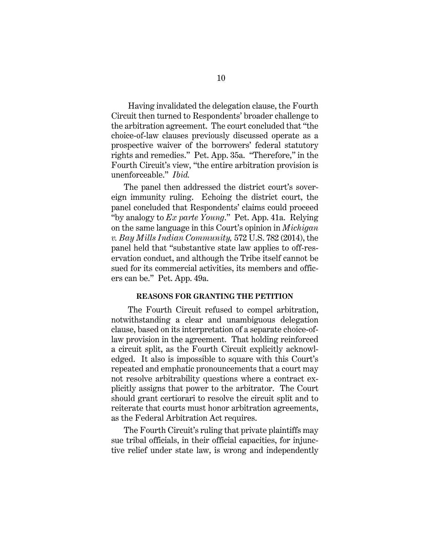Having invalidated the delegation clause, the Fourth Circuit then turned to Respondents' broader challenge to the arbitration agreement. The court concluded that "the choice-of-law clauses previously discussed operate as a prospective waiver of the borrowers' federal statutory rights and remedies." Pet. App. 35a. "Therefore," in the Fourth Circuit's view, "the entire arbitration provision is unenforceable." *Ibid.*

The panel then addressed the district court's sovereign immunity ruling. Echoing the district court, the panel concluded that Respondents' claims could proceed "by analogy to *Ex parte Young*." Pet. App. 41a. Relying on the same language in this Court's opinion in *Michigan v. Bay Mills Indian Community,* 572 U.S. 782 (2014), the panel held that "substantive state law applies to off-reservation conduct, and although the Tribe itself cannot be sued for its commercial activities, its members and officers can be." Pet. App. 49a.

#### **REASONS FOR GRANTING THE PETITION**

The Fourth Circuit refused to compel arbitration, notwithstanding a clear and unambiguous delegation clause, based on its interpretation of a separate choice-oflaw provision in the agreement. That holding reinforced a circuit split, as the Fourth Circuit explicitly acknowledged. It also is impossible to square with this Court's repeated and emphatic pronouncements that a court may not resolve arbitrability questions where a contract explicitly assigns that power to the arbitrator. The Court should grant certiorari to resolve the circuit split and to reiterate that courts must honor arbitration agreements, as the Federal Arbitration Act requires.

The Fourth Circuit's ruling that private plaintiffs may sue tribal officials, in their official capacities, for injunctive relief under state law, is wrong and independently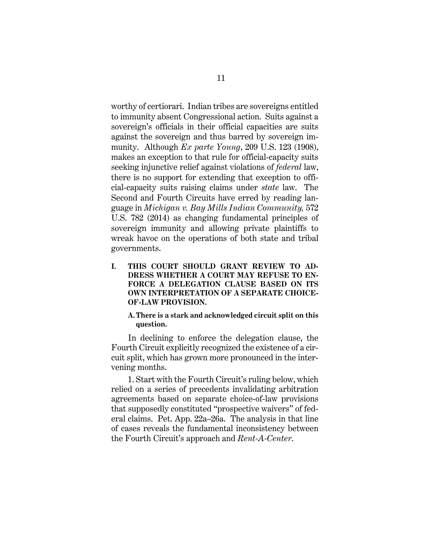worthy of certiorari. Indian tribes are sovereigns entitled to immunity absent Congressional action. Suits against a sovereign's officials in their official capacities are suits against the sovereign and thus barred by sovereign immunity. Although *Ex parte Young*, 209 U.S. 123 (1908), makes an exception to that rule for official-capacity suits seeking injunctive relief against violations of *federal* law, there is no support for extending that exception to official-capacity suits raising claims under *state* law. The Second and Fourth Circuits have erred by reading language in *Michigan v. Bay Mills Indian Community,* 572 U.S. 782 (2014) as changing fundamental principles of sovereign immunity and allowing private plaintiffs to wreak havoc on the operations of both state and tribal governments.

**I. THIS COURT SHOULD GRANT REVIEW TO AD-DRESS WHETHER A COURT MAY REFUSE TO EN-FORCE A DELEGATION CLAUSE BASED ON ITS OWN INTERPRETATION OF A SEPARATE CHOICE-OF-LAW PROVISION.** 

## **A.There is a stark and acknowledged circuit split on this question.**

In declining to enforce the delegation clause, the Fourth Circuit explicitly recognized the existence of a circuit split, which has grown more pronounced in the intervening months.

1. Start with the Fourth Circuit's ruling below, which relied on a series of precedents invalidating arbitration agreements based on separate choice-of-law provisions that supposedly constituted "prospective waivers" of federal claims. Pet. App. 22a–26a. The analysis in that line of cases reveals the fundamental inconsistency between the Fourth Circuit's approach and *Rent-A-Center*.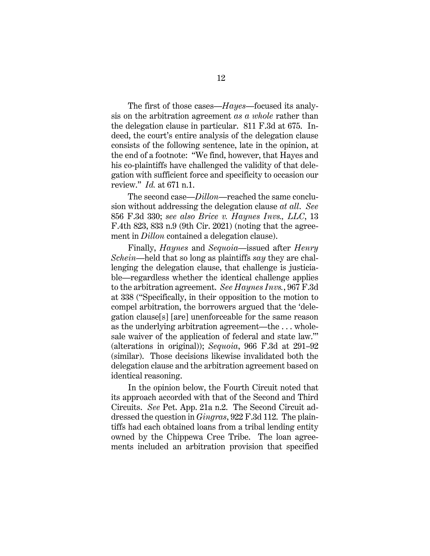The first of those cases—*Hayes*—focused its analysis on the arbitration agreement *as a whole* rather than the delegation clause in particular. 811 F.3d at 675. Indeed, the court's entire analysis of the delegation clause consists of the following sentence, late in the opinion, at the end of a footnote: "We find, however, that Hayes and his co-plaintiffs have challenged the validity of that delegation with sufficient force and specificity to occasion our review." *Id.* at 671 n.1.

The second case—*Dillon*—reached the same conclusion without addressing the delegation clause *at all*. *See*  856 F.3d 330; *see also Brice v. Haynes Invs., LLC*, 13 F.4th 823, 833 n.9 (9th Cir. 2021) (noting that the agreement in *Dillon* contained a delegation clause).

Finally, *Haynes* and *Sequoia*—issued after *Henry Schein*—held that so long as plaintiffs *say* they are challenging the delegation clause, that challenge is justiciable—regardless whether the identical challenge applies to the arbitration agreement. *See Haynes Invs.*, 967 F.3d at 338 ("Specifically, in their opposition to the motion to compel arbitration, the borrowers argued that the 'delegation clause[s] [are] unenforceable for the same reason as the underlying arbitration agreement—the . . . wholesale waiver of the application of federal and state law.'" (alterations in original)); *Sequoia*, 966 F.3d at 291–92 (similar). Those decisions likewise invalidated both the delegation clause and the arbitration agreement based on identical reasoning.

In the opinion below, the Fourth Circuit noted that its approach accorded with that of the Second and Third Circuits. *See* Pet. App. 21a n.2. The Second Circuit addressed the question in *Gingras*, 922 F.3d 112. The plaintiffs had each obtained loans from a tribal lending entity owned by the Chippewa Cree Tribe. The loan agreements included an arbitration provision that specified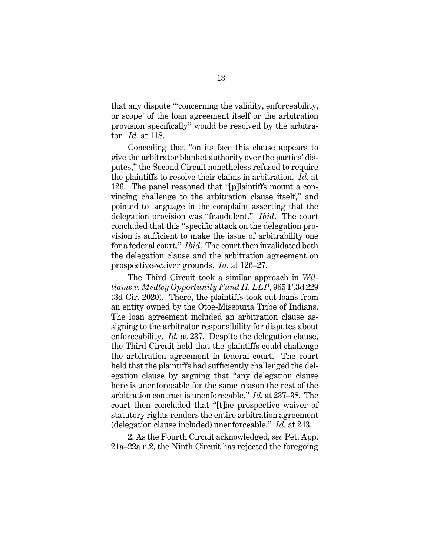that any dispute "'concerning the validity, enforceability, or scope' of the loan agreement itself or the arbitration provision specifically" would be resolved by the arbitrator. *Id.* at 118.

Conceding that "on its face this clause appears to give the arbitrator blanket authority over the parties' disputes," the Second Circuit nonetheless refused to require the plaintiffs to resolve their claims in arbitration. *Id*. at 126. The panel reasoned that "[p]laintiffs mount a convincing challenge to the arbitration clause itself," and pointed to language in the complaint asserting that the delegation provision was "fraudulent." *Ibid*. The court concluded that this "specific attack on the delegation provision is sufficient to make the issue of arbitrability one for a federal court." *Ibid*. The court then invalidated both the delegation clause and the arbitration agreement on prospective-waiver grounds. *Id.* at 126–27.

The Third Circuit took a similar approach in *Williams v. Medley Opportunity Fund II, LLP*, 965 F.3d 229 (3d Cir. 2020). There, the plaintiffs took out loans from an entity owned by the Otoe-Missouria Tribe of Indians. The loan agreement included an arbitration clause assigning to the arbitrator responsibility for disputes about enforceability. *Id.* at 237. Despite the delegation clause, the Third Circuit held that the plaintiffs could challenge the arbitration agreement in federal court. The court held that the plaintiffs had sufficiently challenged the delegation clause by arguing that "any delegation clause here is unenforceable for the same reason the rest of the arbitration contract is unenforceable." *Id.* at 237–38. The court then concluded that "[t]he prospective waiver of statutory rights renders the entire arbitration agreement (delegation clause included) unenforceable." *Id.* at 243.

2. As the Fourth Circuit acknowledged, *see* Pet. App. 21a–22a n.2, the Ninth Circuit has rejected the foregoing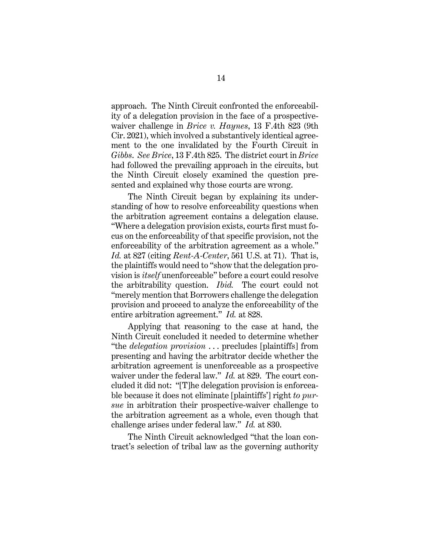approach. The Ninth Circuit confronted the enforceability of a delegation provision in the face of a prospectivewaiver challenge in *Brice v. Haynes*, 13 F.4th 823 (9th Cir. 2021), which involved a substantively identical agreement to the one invalidated by the Fourth Circuit in *Gibbs*. *See Brice*, 13 F.4th 825. The district court in *Brice*  had followed the prevailing approach in the circuits, but the Ninth Circuit closely examined the question presented and explained why those courts are wrong.

The Ninth Circuit began by explaining its understanding of how to resolve enforceability questions when the arbitration agreement contains a delegation clause. "Where a delegation provision exists, courts first must focus on the enforceability of that specific provision, not the enforceability of the arbitration agreement as a whole." *Id.* at 827 (citing *Rent-A-Center*, 561 U.S. at 71). That is, the plaintiffs would need to "show that the delegation provision is *itself* unenforceable" before a court could resolve the arbitrability question. *Ibid.* The court could not "merely mention that Borrowers challenge the delegation provision and proceed to analyze the enforceability of the entire arbitration agreement." *Id.* at 828.

Applying that reasoning to the case at hand, the Ninth Circuit concluded it needed to determine whether "the *delegation provision* . . . precludes [plaintiffs] from presenting and having the arbitrator decide whether the arbitration agreement is unenforceable as a prospective waiver under the federal law." *Id.* at 829. The court concluded it did not: "[T]he delegation provision is enforceable because it does not eliminate [plaintiffs'] right *to pursue* in arbitration their prospective-waiver challenge to the arbitration agreement as a whole, even though that challenge arises under federal law." *Id.* at 830.

The Ninth Circuit acknowledged "that the loan contract's selection of tribal law as the governing authority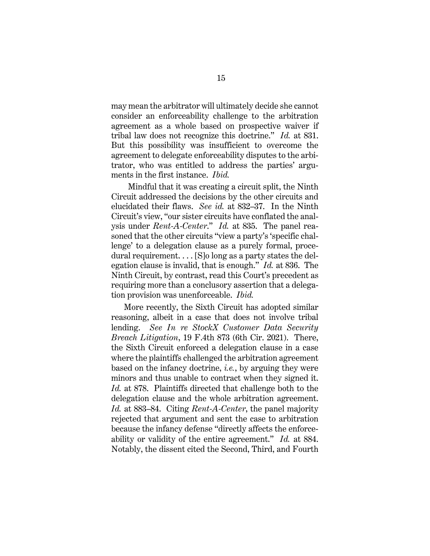may mean the arbitrator will ultimately decide she cannot consider an enforceability challenge to the arbitration agreement as a whole based on prospective waiver if tribal law does not recognize this doctrine." *Id.* at 831. But this possibility was insufficient to overcome the agreement to delegate enforceability disputes to the arbitrator, who was entitled to address the parties' arguments in the first instance. *Ibid.*

Mindful that it was creating a circuit split, the Ninth Circuit addressed the decisions by the other circuits and elucidated their flaws. *See id.* at 832–37. In the Ninth Circuit's view, "our sister circuits have conflated the analysis under *Rent-A-Center*." *Id.* at 835. The panel reasoned that the other circuits "view a party's 'specific challenge' to a delegation clause as a purely formal, procedural requirement. . . . [S]o long as a party states the delegation clause is invalid, that is enough." *Id.* at 836. The Ninth Circuit, by contrast, read this Court's precedent as requiring more than a conclusory assertion that a delegation provision was unenforceable. *Ibid.*

More recently, the Sixth Circuit has adopted similar reasoning, albeit in a case that does not involve tribal lending. *See In re StockX Customer Data Security Breach Litigation*, 19 F.4th 873 (6th Cir. 2021). There, the Sixth Circuit enforced a delegation clause in a case where the plaintiffs challenged the arbitration agreement based on the infancy doctrine, *i.e.*, by arguing they were minors and thus unable to contract when they signed it. *Id.* at 878. Plaintiffs directed that challenge both to the delegation clause and the whole arbitration agreement. *Id.* at 883–84. Citing *Rent-A-Center*, the panel majority rejected that argument and sent the case to arbitration because the infancy defense "directly affects the enforceability or validity of the entire agreement." *Id.* at 884. Notably, the dissent cited the Second, Third, and Fourth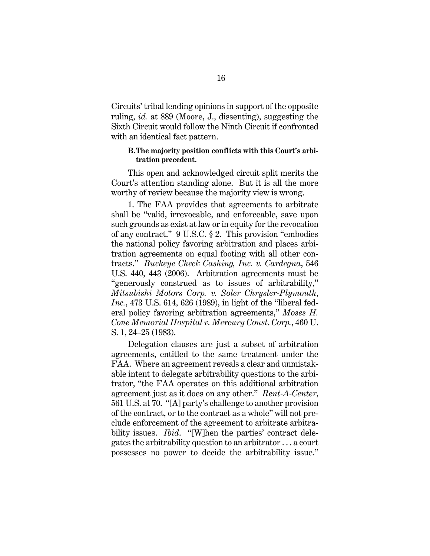Circuits' tribal lending opinions in support of the opposite ruling, *id.* at 889 (Moore, J., dissenting), suggesting the Sixth Circuit would follow the Ninth Circuit if confronted with an identical fact pattern.

# **B.The majority position conflicts with this Court's arbitration precedent.**

This open and acknowledged circuit split merits the Court's attention standing alone. But it is all the more worthy of review because the majority view is wrong.

1. The FAA provides that agreements to arbitrate shall be "valid, irrevocable, and enforceable, save upon such grounds as exist at law or in equity for the revocation of any contract." 9 U.S.C. § 2. This provision "embodies the national policy favoring arbitration and places arbitration agreements on equal footing with all other contracts." *Buckeye Check Cashing, Inc. v. Cardegna*, 546 U.S. 440, 443 (2006). Arbitration agreements must be "generously construed as to issues of arbitrability," *Mitsubishi Motors Corp. v. Soler Chrysler-Plymouth*, *Inc.*, 473 U.S. 614, 626 (1989), in light of the "liberal federal policy favoring arbitration agreements," *Moses H. Cone Memorial Hospital v. Mercury Const*. *Corp.*, 460 U. S. 1, 24–25 (1983).

Delegation clauses are just a subset of arbitration agreements, entitled to the same treatment under the FAA. Where an agreement reveals a clear and unmistakable intent to delegate arbitrability questions to the arbitrator, "the FAA operates on this additional arbitration agreement just as it does on any other." *Rent-A-Center*, 561 U.S. at 70. "[A] party's challenge to another provision of the contract, or to the contract as a whole" will not preclude enforcement of the agreement to arbitrate arbitrability issues. *Ibid*. "[W]hen the parties' contract delegates the arbitrability question to an arbitrator . . . a court possesses no power to decide the arbitrability issue."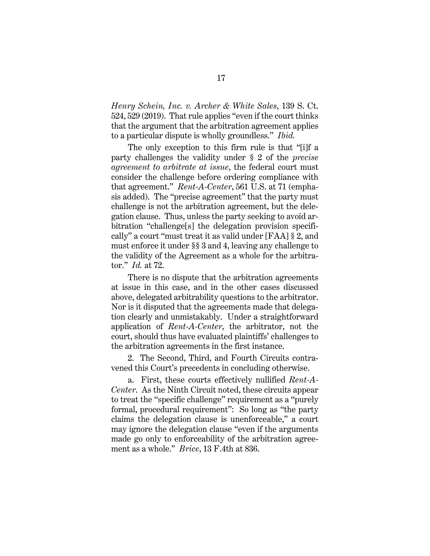*Henry Schein, Inc. v. Archer & White Sales*, 139 S. Ct. 524, 529 (2019). That rule applies "even if the court thinks that the argument that the arbitration agreement applies to a particular dispute is wholly groundless." *Ibid.*

The only exception to this firm rule is that "[i]f a party challenges the validity under § 2 of the *precise agreement to arbitrate at issue*, the federal court must consider the challenge before ordering compliance with that agreement." *Rent-A-Center*, 561 U.S. at 71 (emphasis added). The "precise agreement" that the party must challenge is not the arbitration agreement, but the delegation clause. Thus, unless the party seeking to avoid arbitration "challenge[s] the delegation provision specifically" a court "must treat it as valid under [FAA] § 2, and must enforce it under §§ 3 and 4, leaving any challenge to the validity of the Agreement as a whole for the arbitrator." *Id.* at 72.

There is no dispute that the arbitration agreements at issue in this case, and in the other cases discussed above, delegated arbitrability questions to the arbitrator. Nor is it disputed that the agreements made that delegation clearly and unmistakably. Under a straightforward application of *Rent-A-Center*, the arbitrator, not the court, should thus have evaluated plaintiffs' challenges to the arbitration agreements in the first instance.

2. The Second, Third, and Fourth Circuits contravened this Court's precedents in concluding otherwise.

a. First, these courts effectively nullified *Rent-A-Center*. As the Ninth Circuit noted, these circuits appear to treat the "specific challenge" requirement as a "purely formal, procedural requirement": So long as "the party claims the delegation clause is unenforceable," a court may ignore the delegation clause "even if the arguments made go only to enforceability of the arbitration agreement as a whole." *Brice*, 13 F.4th at 836.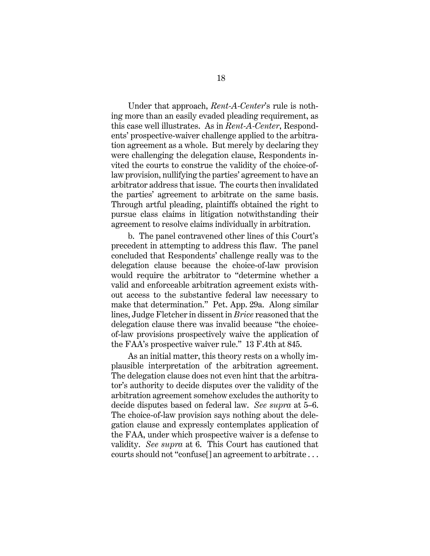Under that approach, *Rent-A-Center*'s rule is nothing more than an easily evaded pleading requirement, as this case well illustrates. As in *Rent-A-Center*, Respondents' prospective-waiver challenge applied to the arbitration agreement as a whole. But merely by declaring they were challenging the delegation clause, Respondents invited the courts to construe the validity of the choice-oflaw provision, nullifying the parties' agreement to have an arbitrator address that issue. The courts then invalidated the parties' agreement to arbitrate on the same basis. Through artful pleading, plaintiffs obtained the right to pursue class claims in litigation notwithstanding their agreement to resolve claims individually in arbitration.

b. The panel contravened other lines of this Court's precedent in attempting to address this flaw. The panel concluded that Respondents' challenge really was to the delegation clause because the choice-of-law provision would require the arbitrator to "determine whether a valid and enforceable arbitration agreement exists without access to the substantive federal law necessary to make that determination." Pet. App. 29a. Along similar lines, Judge Fletcher in dissent in *Brice* reasoned that the delegation clause there was invalid because "the choiceof-law provisions prospectively waive the application of the FAA's prospective waiver rule." 13 F.4th at 845.

As an initial matter, this theory rests on a wholly implausible interpretation of the arbitration agreement. The delegation clause does not even hint that the arbitrator's authority to decide disputes over the validity of the arbitration agreement somehow excludes the authority to decide disputes based on federal law. *See supra* at 5–6. The choice-of-law provision says nothing about the delegation clause and expressly contemplates application of the FAA, under which prospective waiver is a defense to validity. *See supra* at 6. This Court has cautioned that courts should not "confuse[] an agreement to arbitrate . . .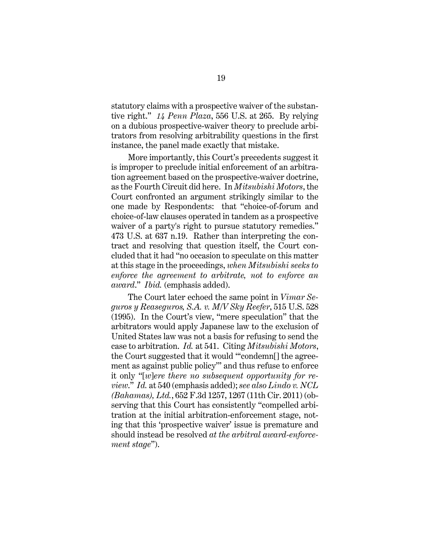statutory claims with a prospective waiver of the substantive right." *14 Penn Plaza*, 556 U.S. at 265. By relying on a dubious prospective-waiver theory to preclude arbitrators from resolving arbitrability questions in the first instance, the panel made exactly that mistake.

More importantly, this Court's precedents suggest it is improper to preclude initial enforcement of an arbitration agreement based on the prospective-waiver doctrine, as the Fourth Circuit did here. In *Mitsubishi Motors*, the Court confronted an argument strikingly similar to the one made by Respondents: that "choice-of-forum and choice-of-law clauses operated in tandem as a prospective waiver of a party's right to pursue statutory remedies." 473 U.S. at 637 n.19. Rather than interpreting the contract and resolving that question itself, the Court concluded that it had "no occasion to speculate on this matter at this stage in the proceedings, *when Mitsubishi seeks to enforce the agreement to arbitrate, not to enforce an award*." *Ibid.* (emphasis added).

The Court later echoed the same point in *Vimar Seguros y Reaseguros, S.A. v. M/V Sky Reefer*, 515 U.S. 528 (1995). In the Court's view, "mere speculation" that the arbitrators would apply Japanese law to the exclusion of United States law was not a basis for refusing to send the case to arbitration. *Id.* at 541. Citing *Mitsubishi Motors*, the Court suggested that it would "'condemn[] the agreement as against public policy'" and thus refuse to enforce it only "[*w*]*ere there no subsequent opportunity for review*." *Id.* at 540 (emphasis added); *see also Lindo v. NCL (Bahamas), Ltd.*, 652 F.3d 1257, 1267 (11th Cir. 2011) (observing that this Court has consistently "compelled arbitration at the initial arbitration-enforcement stage, noting that this 'prospective waiver' issue is premature and should instead be resolved *at the arbitral award-enforcement stage*").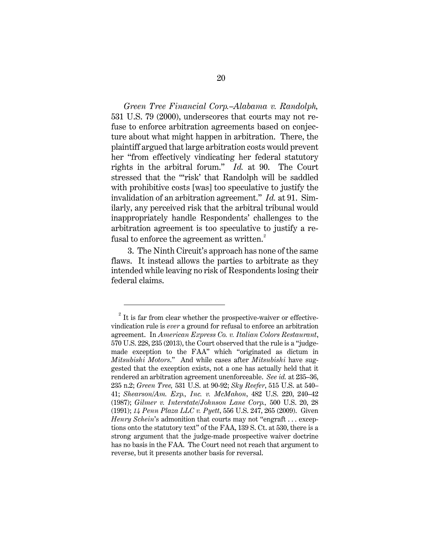*Green Tree Financial Corp.–Alabama v. Randolph,*  531 U.S. 79 (2000), underscores that courts may not refuse to enforce arbitration agreements based on conjecture about what might happen in arbitration. There, the plaintiff argued that large arbitration costs would prevent her "from effectively vindicating her federal statutory rights in the arbitral forum." *Id.* at 90. The Court stressed that the "'risk' that Randolph will be saddled with prohibitive costs [was] too speculative to justify the invalidation of an arbitration agreement." *Id.* at 91. Similarly, any perceived risk that the arbitral tribunal would inappropriately handle Respondents' challenges to the arbitration agreement is too speculative to justify a refusal to enforce the agreement as written. $^{2}$  $^{2}$  $^{2}$ 

3. The Ninth Circuit's approach has none of the same flaws. It instead allows the parties to arbitrate as they intended while leaving no risk of Respondents losing their federal claims.

<span id="page-28-0"></span> $2^{2}$  It is far from clear whether the prospective-waiver or effectivevindication rule is *ever* a ground for refusal to enforce an arbitration agreement. In *American Express Co. v. Italian Colors Restaurant*, 570 U.S. 228, 235 (2013), the Court observed that the rule is a "judgemade exception to the FAA" which "originated as dictum in *Mitsubishi Motors*." And while cases after *Mitsubishi* have suggested that the exception exists, not a one has actually held that it rendered an arbitration agreement unenforceable. *See id.* at 235–36, 235 n.2; *Green Tree,* 531 U.S. at 90-92; *Sky Reefer*, 515 U.S. at 540– 41; *Shearson/Am. Exp., Inc. v. McMahon*, 482 U.S. 220, 240–42 (1987); *Gilmer v. Interstate/Johnson Lane Corp.,* 500 U.S. 20, 28 (1991); *14 Penn Plaza LLC v. Pyett*, 556 U.S. 247, 265 (2009). Given *Henry Schein*'s admonition that courts may not "engraft . . . exceptions onto the statutory text" of the FAA, 139 S. Ct. at 530, there is a strong argument that the judge-made prospective waiver doctrine has no basis in the FAA. The Court need not reach that argument to reverse, but it presents another basis for reversal.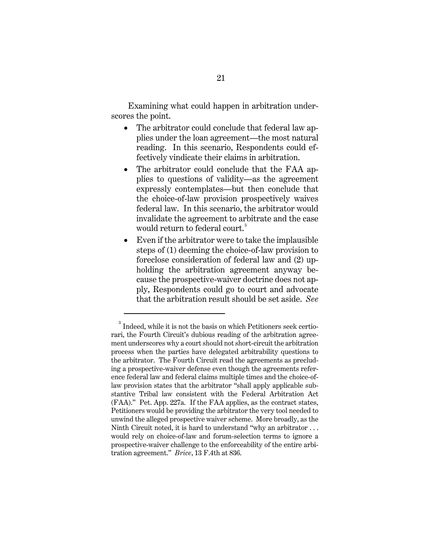Examining what could happen in arbitration underscores the point.

- The arbitrator could conclude that federal law applies under the loan agreement—the most natural reading. In this scenario, Respondents could effectively vindicate their claims in arbitration.
- The arbitrator could conclude that the FAA applies to questions of validity—as the agreement expressly contemplates—but then conclude that the choice-of-law provision prospectively waives federal law. In this scenario, the arbitrator would invalidate the agreement to arbitrate and the case would return to federal court.<sup>[3](#page-29-0)</sup>
- Even if the arbitrator were to take the implausible steps of (1) deeming the choice-of-law provision to foreclose consideration of federal law and (2) upholding the arbitration agreement anyway because the prospective-waiver doctrine does not apply, Respondents could go to court and advocate that the arbitration result should be set aside. *See*

<span id="page-29-0"></span> $^{\rm 3}$  Indeed, while it is not the basis on which Petitioners seek certiorari, the Fourth Circuit's dubious reading of the arbitration agreement underscores why a court should not short-circuit the arbitration process when the parties have delegated arbitrability questions to the arbitrator. The Fourth Circuit read the agreements as precluding a prospective-waiver defense even though the agreements reference federal law and federal claims multiple times and the choice-oflaw provision states that the arbitrator "shall apply applicable substantive Tribal law consistent with the Federal Arbitration Act (FAA)." Pet. App. 227a. If the FAA applies, as the contract states, Petitioners would be providing the arbitrator the very tool needed to unwind the alleged prospective waiver scheme. More broadly, as the Ninth Circuit noted, it is hard to understand "why an arbitrator . . . would rely on choice-of-law and forum-selection terms to ignore a prospective-waiver challenge to the enforceability of the entire arbitration agreement." *Brice*, 13 F.4th at 836.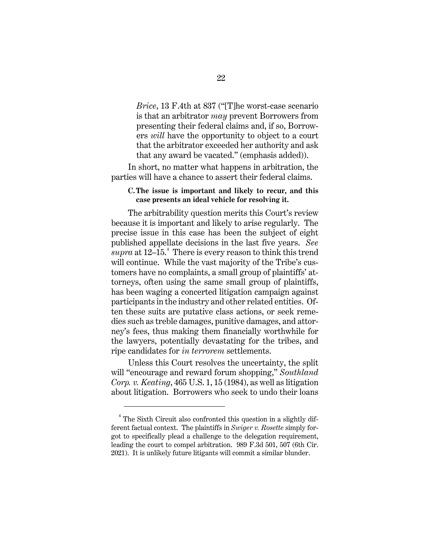*Brice*, 13 F.4th at 837 ("[T]he worst-case scenario is that an arbitrator *may* prevent Borrowers from presenting their federal claims and, if so, Borrowers *will* have the opportunity to object to a court that the arbitrator exceeded her authority and ask that any award be vacated." (emphasis added)).

In short, no matter what happens in arbitration, the parties will have a chance to assert their federal claims.

# **C.The issue is important and likely to recur, and this case presents an ideal vehicle for resolving it.**

The arbitrability question merits this Court's review because it is important and likely to arise regularly. The precise issue in this case has been the subject of eight published appellate decisions in the last five years. *See*  $\overline{s}upra$  at 12–15.<sup>[4](#page-30-0)</sup> There is every reason to think this trend will continue. While the vast majority of the Tribe's customers have no complaints, a small group of plaintiffs' attorneys, often using the same small group of plaintiffs, has been waging a concerted litigation campaign against participants in the industry and other related entities. Often these suits are putative class actions, or seek remedies such as treble damages, punitive damages, and attorney's fees, thus making them financially worthwhile for the lawyers, potentially devastating for the tribes, and ripe candidates for *in terrorem* settlements.

Unless this Court resolves the uncertainty, the split will "encourage and reward forum shopping," *Southland Corp. v. Keating*, 465 U.S. 1, 15 (1984), as well as litigation about litigation. Borrowers who seek to undo their loans

<span id="page-30-0"></span><sup>4</sup> The Sixth Circuit also confronted this question in a slightly different factual context. The plaintiffs in *Swiger v. Rosette* simply forgot to specifically plead a challenge to the delegation requirement, leading the court to compel arbitration. 989 F.3d 501, 507 (6th Cir. 2021). It is unlikely future litigants will commit a similar blunder.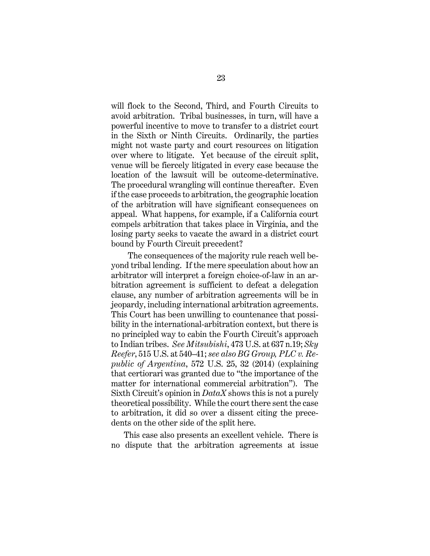will flock to the Second, Third, and Fourth Circuits to avoid arbitration. Tribal businesses, in turn, will have a powerful incentive to move to transfer to a district court in the Sixth or Ninth Circuits. Ordinarily, the parties might not waste party and court resources on litigation over where to litigate. Yet because of the circuit split, venue will be fiercely litigated in every case because the location of the lawsuit will be outcome-determinative. The procedural wrangling will continue thereafter. Even if the case proceeds to arbitration, the geographic location of the arbitration will have significant consequences on appeal. What happens, for example, if a California court compels arbitration that takes place in Virginia, and the losing party seeks to vacate the award in a district court bound by Fourth Circuit precedent?

The consequences of the majority rule reach well beyond tribal lending. If the mere speculation about how an arbitrator will interpret a foreign choice-of-law in an arbitration agreement is sufficient to defeat a delegation clause, any number of arbitration agreements will be in jeopardy, including international arbitration agreements. This Court has been unwilling to countenance that possibility in the international-arbitration context, but there is no principled way to cabin the Fourth Circuit's approach to Indian tribes. *See Mitsubishi*, 473 U.S. at 637 n.19; *Sky Reefer*, 515 U.S. at 540–41; *see also BG Group, PLC v. Republic of Argentina*, 572 U.S. 25, 32 (2014) (explaining that certiorari was granted due to "the importance of the matter for international commercial arbitration"). The Sixth Circuit's opinion in *DataX* shows this is not a purely theoretical possibility. While the court there sent the case to arbitration, it did so over a dissent citing the precedents on the other side of the split here.

This case also presents an excellent vehicle. There is no dispute that the arbitration agreements at issue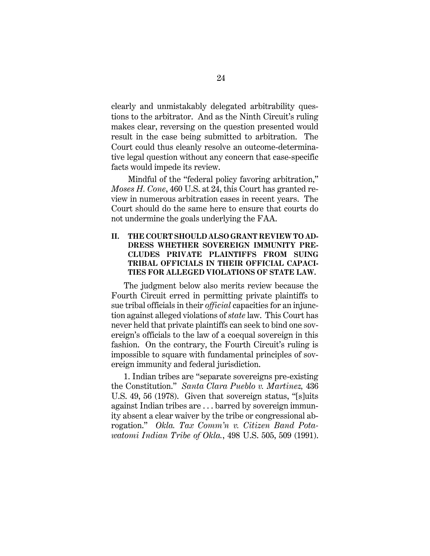clearly and unmistakably delegated arbitrability questions to the arbitrator. And as the Ninth Circuit's ruling makes clear, reversing on the question presented would result in the case being submitted to arbitration. The Court could thus cleanly resolve an outcome-determinative legal question without any concern that case-specific facts would impede its review.

Mindful of the "federal policy favoring arbitration," *Moses H. Cone*, 460 U.S. at 24, this Court has granted review in numerous arbitration cases in recent years. The Court should do the same here to ensure that courts do not undermine the goals underlying the FAA.

# **II. THE COURT SHOULD ALSO GRANT REVIEW TO AD-DRESS WHETHER SOVEREIGN IMMUNITY PRE-CLUDES PRIVATE PLAINTIFFS FROM SUING TRIBAL OFFICIALS IN THEIR OFFICIAL CAPACI-TIES FOR ALLEGED VIOLATIONS OF STATE LAW.**

The judgment below also merits review because the Fourth Circuit erred in permitting private plaintiffs to sue tribal officials in their *official* capacities for an injunction against alleged violations of *state* law. This Court has never held that private plaintiffs can seek to bind one sovereign's officials to the law of a coequal sovereign in this fashion. On the contrary, the Fourth Circuit's ruling is impossible to square with fundamental principles of sovereign immunity and federal jurisdiction.

1. Indian tribes are "separate sovereigns pre-existing the Constitution." *Santa Clara Pueblo v. Martinez,* 436 U.S. 49, 56 (1978). Given that sovereign status, "[s]uits against Indian tribes are . . . barred by sovereign immunity absent a clear waiver by the tribe or congressional abrogation." *Okla. Tax Comm'n v. Citizen Band Potawatomi Indian Tribe of Okla.*, 498 U.S. 505, 509 (1991).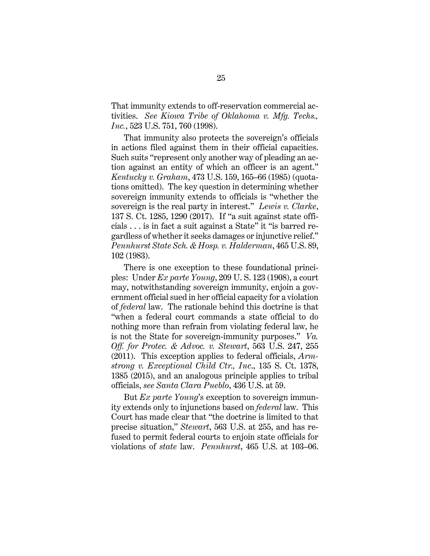That immunity extends to off-reservation commercial activities. *See Kiowa Tribe of Oklahoma v. Mfg. Techs., Inc.*, 523 U.S. 751, 760 (1998).

That immunity also protects the sovereign's officials in actions filed against them in their official capacities. Such suits "represent only another way of pleading an action against an entity of which an officer is an agent." *Kentucky v. Graham*, 473 U.S. 159, 165–66 (1985) (quotations omitted). The key question in determining whether sovereign immunity extends to officials is "whether the sovereign is the real party in interest." *Lewis v. Clarke*, 137 S. Ct. 1285, 1290 (2017). If "a suit against state officials . . . is in fact a suit against a State" it "is barred regardless of whether it seeks damages or injunctive relief." *Pennhurst State Sch. & Hosp. v. Halderman*, 465 U.S. 89, 102 (1983).

There is one exception to these foundational principles: Under *Ex parte Young*, 209 U. S. 123 (1908), a court may, notwithstanding sovereign immunity, enjoin a government official sued in her official capacity for a violation of *federal* law. The rationale behind this doctrine is that "when a federal court commands a state official to do nothing more than refrain from violating federal law, he is not the State for sovereign-immunity purposes." *Va. Off. for Protec. & Advoc. v. Stewart*, 563 U.S. 247, 255 (2011). This exception applies to federal officials, *Armstrong v. Exceptional Child Ctr., Inc*., 135 S. Ct. 1378, 1385 (2015), and an analogous principle applies to tribal officials, *see Santa Clara Pueblo*, 436 U.S. at 59.

But *Ex parte Young*'s exception to sovereign immunity extends only to injunctions based on *federal* law. This Court has made clear that "the doctrine is limited to that precise situation," *Stewart*, 563 U.S. at 255, and has refused to permit federal courts to enjoin state officials for violations of *state* law. *Pennhurst*, 465 U.S. at 103–06.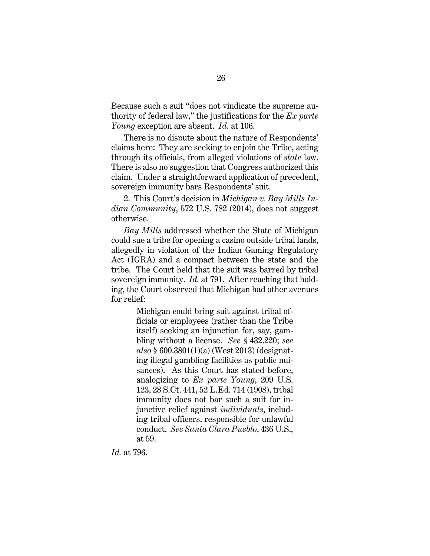Because such a suit "does not vindicate the supreme authority of federal law," the justifications for the *Ex parte Young* exception are absent. *Id.* at 106.

There is no dispute about the nature of Respondents' claims here: They are seeking to enjoin the Tribe, acting through its officials, from alleged violations of *state* law. There is also no suggestion that Congress authorized this claim. Under a straightforward application of precedent, sovereign immunity bars Respondents' suit.

2. This Court's decision in *Michigan v. Bay Mills Indian Community*, 572 U.S. 782 (2014), does not suggest otherwise.

*Bay Mills* addressed whether the State of Michigan could sue a tribe for opening a casino outside tribal lands, allegedly in violation of the Indian Gaming Regulatory Act (IGRA) and a compact between the state and the tribe. The Court held that the suit was barred by tribal sovereign immunity. *Id.* at 791. After reaching that holding, the Court observed that Michigan had other avenues for relief:

> Michigan could bring suit against tribal officials or employees (rather than the Tribe itself) seeking an injunction for, say, gambling without a license. *See* § 432.220; *see also* § 600.3801(1)(a) (West 2013) (designating illegal gambling facilities as public nuisances). As this Court has stated before, analogizing to *Ex parte Young*, 209 U.S. 123, 28 S.Ct. 441, 52 L.Ed. 714 (1908), tribal immunity does not bar such a suit for injunctive relief against *individuals*, including tribal officers, responsible for unlawful conduct. *See Santa Clara Pueblo*, 436 U.S., at 59.

*Id.* at 796.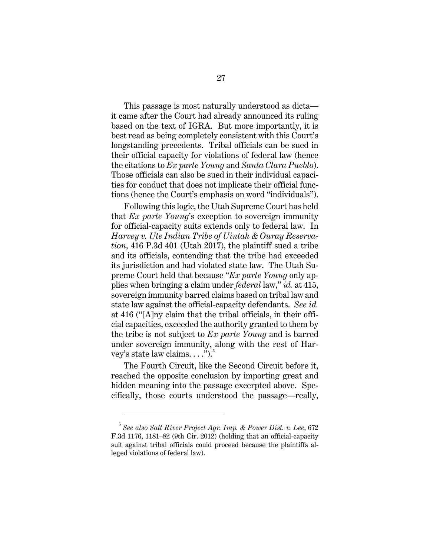This passage is most naturally understood as dicta it came after the Court had already announced its ruling based on the text of IGRA. But more importantly, it is best read as being completely consistent with this Court's longstanding precedents. Tribal officials can be sued in their official capacity for violations of federal law (hence the citations to *Ex parte Young* and *Santa Clara Pueblo*). Those officials can also be sued in their individual capacities for conduct that does not implicate their official functions (hence the Court's emphasis on word "individuals").

Following this logic, the Utah Supreme Court has held that *Ex parte Young*'s exception to sovereign immunity for official-capacity suits extends only to federal law. In *Harvey v. Ute Indian Tribe of Uintah & Ouray Reservation*, 416 P.3d 401 (Utah 2017), the plaintiff sued a tribe and its officials, contending that the tribe had exceeded its jurisdiction and had violated state law. The Utah Supreme Court held that because "*Ex parte Young* only applies when bringing a claim under *federal* law," *id.* at 415, sovereign immunity barred claims based on tribal law and state law against the official-capacity defendants. *See id.* at 416 ("[A]ny claim that the tribal officials, in their official capacities, exceeded the authority granted to them by the tribe is not subject to *Ex parte Young* and is barred under sovereign immunity, along with the rest of Harvey's state law claims.  $\dots$ ").<sup>[5](#page-35-0)</sup>

The Fourth Circuit, like the Second Circuit before it, reached the opposite conclusion by importing great and hidden meaning into the passage excerpted above. Specifically, those courts understood the passage—really,

<span id="page-35-0"></span><sup>5</sup> *See also Salt River Project Agr. Imp. & Power Dist. v. Lee*, 672 F.3d 1176, 1181–82 (9th Cir. 2012) (holding that an official-capacity suit against tribal officials could proceed because the plaintiffs alleged violations of federal law).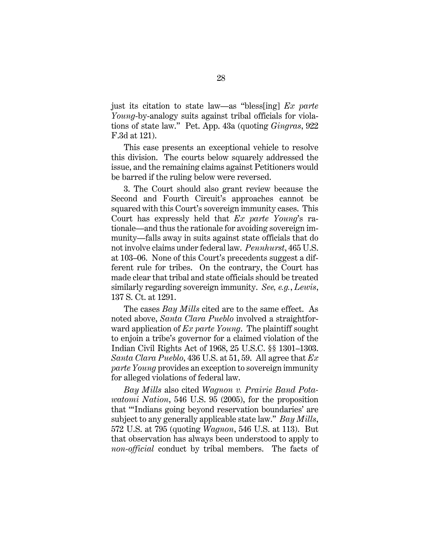just its citation to state law—as "bless[ing] *Ex parte Young*-by-analogy suits against tribal officials for violations of state law." Pet. App. 43a (quoting *Gingras*, 922 F.3d at 121).

This case presents an exceptional vehicle to resolve this division. The courts below squarely addressed the issue, and the remaining claims against Petitioners would be barred if the ruling below were reversed.

3. The Court should also grant review because the Second and Fourth Circuit's approaches cannot be squared with this Court's sovereign immunity cases. This Court has expressly held that *Ex parte Young*'s rationale—and thus the rationale for avoiding sovereign immunity—falls away in suits against state officials that do not involve claims under federal law. *Pennhurst*, 465 U.S. at 103–06. None of this Court's precedents suggest a different rule for tribes. On the contrary, the Court has made clear that tribal and state officials should be treated similarly regarding sovereign immunity. *See, e.g.*, *Lewis*, 137 S. Ct. at 1291.

The cases *Bay Mills* cited are to the same effect. As noted above, *Santa Clara Pueblo* involved a straightforward application of *Ex parte Young*. The plaintiff sought to enjoin a tribe's governor for a claimed violation of the Indian Civil Rights Act of 1968, 25 U.S.C. §§ 1301–1303. *Santa Clara Pueblo*, 436 U.S. at 51, 59. All agree that *Ex parte Young* provides an exception to sovereign immunity for alleged violations of federal law.

*Bay Mills* also cited *Wagnon v. Prairie Band Potawatomi Nation*, 546 U.S. 95 (2005), for the proposition that "'Indians going beyond reservation boundaries' are subject to any generally applicable state law." *Bay Mills*, 572 U.S. at 795 (quoting *Wagnon*, 546 U.S. at 113). But that observation has always been understood to apply to *non-official* conduct by tribal members. The facts of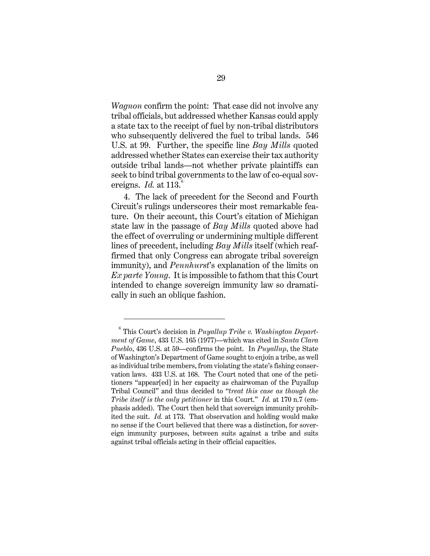*Wagnon* confirm the point: That case did not involve any tribal officials, but addressed whether Kansas could apply a state tax to the receipt of fuel by non-tribal distributors who subsequently delivered the fuel to tribal lands. 546 U.S. at 99. Further, the specific line *Bay Mills* quoted addressed whether States can exercise their tax authority outside tribal lands—not whether private plaintiffs can seek to bind tribal governments to the law of co-equal sovereigns. *Id.* at 113.<sup>[6](#page-37-0)</sup>

4. The lack of precedent for the Second and Fourth Circuit's rulings underscores their most remarkable feature. On their account, this Court's citation of Michigan state law in the passage of *Bay Mills* quoted above had the effect of overruling or undermining multiple different lines of precedent, including *Bay Mills* itself (which reaffirmed that only Congress can abrogate tribal sovereign immunity), and *Pennhurst*'s explanation of the limits on *Ex parte Young*. It is impossible to fathom that this Court intended to change sovereign immunity law so dramatically in such an oblique fashion.

<span id="page-37-0"></span><sup>6</sup> This Court's decision in *Puyallup Tribe v. Washington Department of Game*, 433 U.S. 165 (1977)—which was cited in *Santa Clara Pueblo*, 436 U.S. at 59—confirms the point. In *Puyallup*, the State of Washington's Department of Game sought to enjoin a tribe, as well as individual tribe members, from violating the state's fishing conservation laws. 433 U.S. at 168. The Court noted that one of the petitioners "appear[ed] in her capacity as chairwoman of the Puyallup Tribal Council" and thus decided to "*treat this case as though the Tribe itself is the only petitioner* in this Court." *Id.* at 170 n.7 (emphasis added). The Court then held that sovereign immunity prohibited the suit. *Id.* at 173. That observation and holding would make no sense if the Court believed that there was a distinction, for sovereign immunity purposes, between suits against a tribe and suits against tribal officials acting in their official capacities.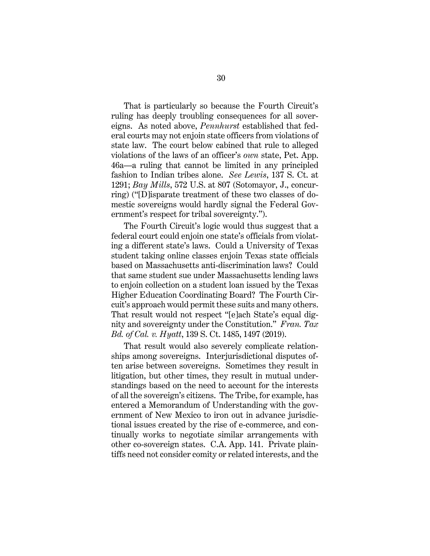That is particularly so because the Fourth Circuit's ruling has deeply troubling consequences for all sovereigns. As noted above, *Pennhurst* established that federal courts may not enjoin state officers from violations of state law. The court below cabined that rule to alleged violations of the laws of an officer's *own* state, Pet. App. 46a—a ruling that cannot be limited in any principled fashion to Indian tribes alone. *See Lewis*, 137 S. Ct. at 1291; *Bay Mills*, 572 U.S. at 807 (Sotomayor, J., concurring) ("[D]isparate treatment of these two classes of domestic sovereigns would hardly signal the Federal Government's respect for tribal sovereignty.").

The Fourth Circuit's logic would thus suggest that a federal court could enjoin one state's officials from violating a different state's laws. Could a University of Texas student taking online classes enjoin Texas state officials based on Massachusetts anti-discrimination laws? Could that same student sue under Massachusetts lending laws to enjoin collection on a student loan issued by the Texas Higher Education Coordinating Board? The Fourth Circuit's approach would permit these suits and many others. That result would not respect "[e]ach State's equal dignity and sovereignty under the Constitution." *Fran. Tax Bd. of Cal. v. Hyatt*, 139 S. Ct. 1485, 1497 (2019).

That result would also severely complicate relationships among sovereigns. Interjurisdictional disputes often arise between sovereigns. Sometimes they result in litigation, but other times, they result in mutual understandings based on the need to account for the interests of all the sovereign's citizens. The Tribe, for example, has entered a Memorandum of Understanding with the government of New Mexico to iron out in advance jurisdictional issues created by the rise of e-commerce, and continually works to negotiate similar arrangements with other co-sovereign states. C.A. App. 141. Private plaintiffs need not consider comity or related interests, and the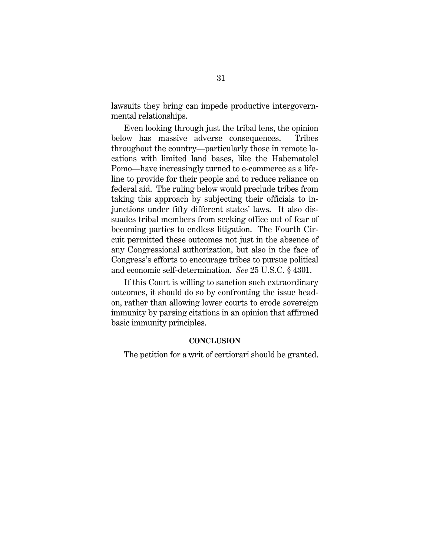lawsuits they bring can impede productive intergovernmental relationships.

Even looking through just the tribal lens, the opinion below has massive adverse consequences. Tribes throughout the country—particularly those in remote locations with limited land bases, like the Habematolel Pomo—have increasingly turned to e-commerce as a lifeline to provide for their people and to reduce reliance on federal aid. The ruling below would preclude tribes from taking this approach by subjecting their officials to injunctions under fifty different states' laws. It also dissuades tribal members from seeking office out of fear of becoming parties to endless litigation. The Fourth Circuit permitted these outcomes not just in the absence of any Congressional authorization, but also in the face of Congress's efforts to encourage tribes to pursue political and economic self-determination. *See* 25 U.S.C. § 4301.

If this Court is willing to sanction such extraordinary outcomes, it should do so by confronting the issue headon, rather than allowing lower courts to erode sovereign immunity by parsing citations in an opinion that affirmed basic immunity principles.

# **CONCLUSION**

The petition for a writ of certiorari should be granted.